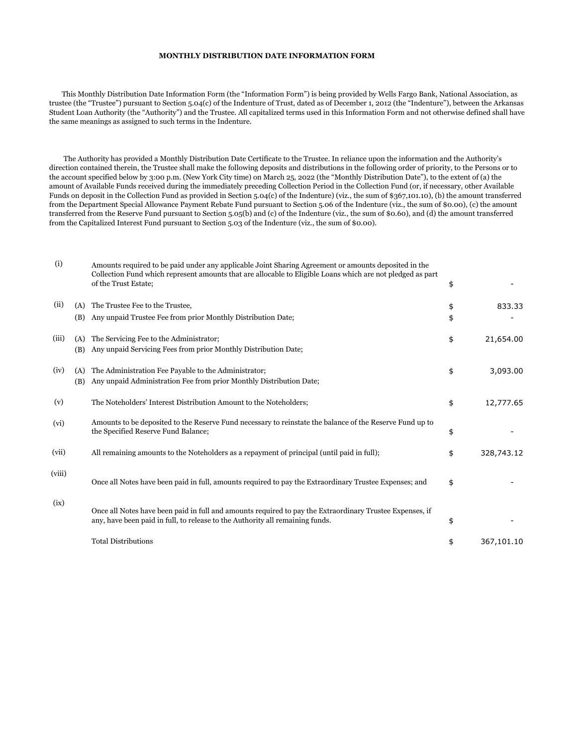## **MONTHLY DISTRIBUTION DATE INFORMATION FORM**

 This Monthly Distribution Date Information Form (the "Information Form") is being provided by Wells Fargo Bank, National Association, as trustee (the "Trustee") pursuant to Section 5.04(c) of the Indenture of Trust, dated as of December 1, 2012 (the "Indenture"), between the Arkansas Student Loan Authority (the "Authority") and the Trustee. All capitalized terms used in this Information Form and not otherwise defined shall have the same meanings as assigned to such terms in the Indenture.

 The Authority has provided a Monthly Distribution Date Certificate to the Trustee. In reliance upon the information and the Authority's direction contained therein, the Trustee shall make the following deposits and distributions in the following order of priority, to the Persons or to the account specified below by 3:00 p.m. (New York City time) on March 25, 2022 (the "Monthly Distribution Date"), to the extent of (a) the amount of Available Funds received during the immediately preceding Collection Period in the Collection Fund (or, if necessary, other Available Funds on deposit in the Collection Fund as provided in Section 5.04(c) of the Indenture) (viz., the sum of \$367,101.10), (b) the amount transferred from the Department Special Allowance Payment Rebate Fund pursuant to Section 5.06 of the Indenture (viz., the sum of \$0.00), (c) the amount transferred from the Reserve Fund pursuant to Section 5.05(b) and (c) of the Indenture (viz., the sum of \$0.60), and (d) the amount transferred from the Capitalized Interest Fund pursuant to Section 5.03 of the Indenture (viz., the sum of \$0.00).

| (i)    |            | Amounts required to be paid under any applicable Joint Sharing Agreement or amounts deposited in the<br>Collection Fund which represent amounts that are allocable to Eligible Loans which are not pledged as part<br>of the Trust Estate; | \$       |            |
|--------|------------|--------------------------------------------------------------------------------------------------------------------------------------------------------------------------------------------------------------------------------------------|----------|------------|
| (ii)   | (A)<br>(B) | The Trustee Fee to the Trustee,<br>Any unpaid Trustee Fee from prior Monthly Distribution Date;                                                                                                                                            | \$<br>\$ | 833.33     |
| (iii)  | (A)<br>(B) | The Servicing Fee to the Administrator;<br>Any unpaid Servicing Fees from prior Monthly Distribution Date;                                                                                                                                 | \$       | 21,654.00  |
| (iv)   | (A)<br>(B) | The Administration Fee Payable to the Administrator;<br>Any unpaid Administration Fee from prior Monthly Distribution Date;                                                                                                                | \$       | 3,093.00   |
| (v)    |            | The Noteholders' Interest Distribution Amount to the Noteholders;                                                                                                                                                                          | \$       | 12,777.65  |
| (vi)   |            | Amounts to be deposited to the Reserve Fund necessary to reinstate the balance of the Reserve Fund up to<br>the Specified Reserve Fund Balance;                                                                                            | \$       |            |
| (vii)  |            | All remaining amounts to the Noteholders as a repayment of principal (until paid in full);                                                                                                                                                 | \$       | 328,743.12 |
| (viii) |            | Once all Notes have been paid in full, amounts required to pay the Extraordinary Trustee Expenses; and                                                                                                                                     | \$       |            |
| (ix)   |            | Once all Notes have been paid in full and amounts required to pay the Extraordinary Trustee Expenses, if<br>any, have been paid in full, to release to the Authority all remaining funds.                                                  | \$       |            |
|        |            | <b>Total Distributions</b>                                                                                                                                                                                                                 | \$       | 367,101.10 |